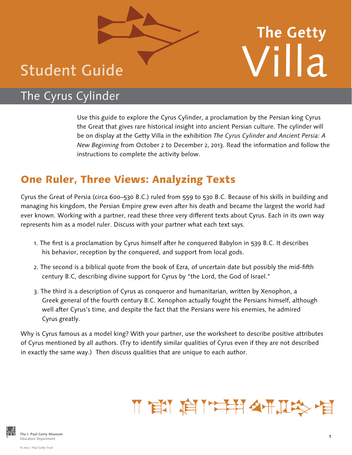## Student Guide

# **The Getty** Villa

## The Cyrus Cylinder

Use this guide to explore the Cyrus Cylinder, a proclamation by the Persian king Cyrus the Great that gives rare historical insight into ancient Persian culture. The cylinder will be on display at the Getty Villa in the exhibition *The Cyrus Cylinder and Ancient Persia: A New Beginning* from October 2 to December 2, 2013. Read the information and follow the instructions to complete the activity below.

### One Ruler, Three Views: Analyzing Texts

Cyrus the Great of Persia (circa 600–530 B.C.) ruled from 559 to 530 B.C. Because of his skills in building and managing his kingdom, the Persian Empire grew even after his death and became the largest the world had ever known. Working with a partner, read these three very different texts about Cyrus. Each in its own way represents him as a model ruler. Discuss with your partner what each text says.

- 1. The first is a proclamation by Cyrus himself after he conquered Babylon in 539 B.C. It describes his behavior, reception by the conquered, and support from local gods.
- 2. The second is a biblical quote from the book of Ezra, of uncertain date but possibly the mid-fifth century B.C, describing divine support for Cyrus by "the Lord, the God of Israel."
- 3. The third is a description of Cyrus as conqueror and humanitarian, written by Xenophon, a Greek general of the fourth century B.C. Xenophon actually fought the Persians himself, although well after Cyrus's time, and despite the fact that the Persians were his enemies, he admired Cyrus greatly.

Why is Cyrus famous as a model king? With your partner, use the worksheet to describe positive attributes of Cyrus mentioned by all authors. (Try to identify similar qualities of Cyrus even if they are not described in exactly the same way.) Then discuss qualities that are unique to each author.

## Ⅱ 官 信 二年1日

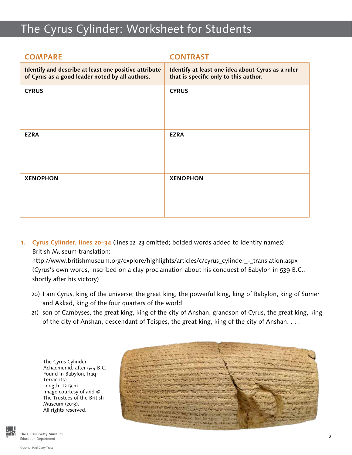## The Cyrus Cylinder: Worksheet for Students

| <b>COMPARE</b>                                                                                           | <b>CONTRAST</b>                                                                            |
|----------------------------------------------------------------------------------------------------------|--------------------------------------------------------------------------------------------|
| Identify and describe at least one positive attribute<br>of Cyrus as a good leader noted by all authors. | Identify at least one idea about Cyrus as a ruler<br>that is specific only to this author. |
| <b>CYRUS</b>                                                                                             | <b>CYRUS</b>                                                                               |
| <b>EZRA</b>                                                                                              | <b>EZRA</b>                                                                                |
| <b>XENOPHON</b>                                                                                          | <b>XENOPHON</b>                                                                            |

**1. Cyrus Cylinder, lines 20–34** (lines 22–23 omitted; bolded words added to identify names) British Museum translation:

http://www.britishmuseum.org/explore/highlights/articles/c/cyrus\_cylinder\_-\_translation.aspx (Cyrus's own words, inscribed on a clay proclamation about his conquest of Babylon in 539 B.C., shortly after his victory)

- 20) I am Cyrus, king of the universe, the great king, the powerful king, king of Babylon, king of Sumer and Akkad, king of the four quarters of the world,
- 21) son of Cambyses, the great king, king of the city of Anshan, grandson of Cyrus, the great king, king of the city of Anshan, descendant of Teispes, the great king, king of the city of Anshan. . . .

The Cyrus Cylinder Achaemenid, after 539 B.C. Found in Babylon, Iraq Terracotta Length: 22.5cm Image courtesy of and © The Trustees of the British Museum (2013). All rights reserved.



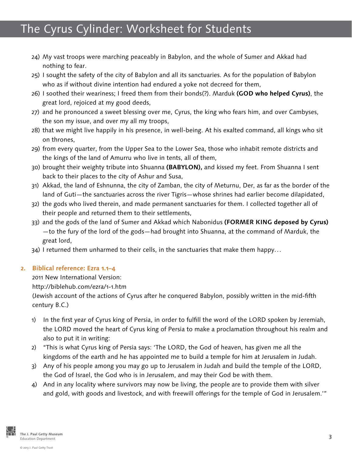## The Cyrus Cylinder: Worksheet for Students

- 24) My vast troops were marching peaceably in Babylon, and the whole of Sumer and Akkad had nothing to fear.
- 25) I sought the safety of the city of Babylon and all its sanctuaries. As for the population of Babylon who as if without divine intention had endured a yoke not decreed for them,
- 26) I soothed their weariness; I freed them from their bonds(?). Marduk **(GOD who helped Cyrus)**, the great lord, rejoiced at my good deeds,
- 27) and he pronounced a sweet blessing over me, Cyrus, the king who fears him, and over Cambyses, the son my issue, and over my all my troops,
- 28) that we might live happily in his presence, in well-being. At his exalted command, all kings who sit on thrones,
- 29) from every quarter, from the Upper Sea to the Lower Sea, those who inhabit remote districts and the kings of the land of Amurru who live in tents, all of them,
- 30) brought their weighty tribute into Shuanna **(BABYLON),** and kissed my feet. From Shuanna I sent back to their places to the city of Ashur and Susa,
- 31) Akkad, the land of Eshnunna, the city of Zamban, the city of Meturnu, Der, as far as the border of the land of Guti—the sanctuaries across the river Tigris—whose shrines had earlier become dilapidated,
- 32) the gods who lived therein, and made permanent sanctuaries for them. I collected together all of their people and returned them to their settlements,
- 33) and the gods of the land of Sumer and Akkad which Nabonidus **(FORMER KING deposed by Cyrus)** —to the fury of the lord of the gods—had brought into Shuanna, at the command of Marduk, the great lord,
- 34) I returned them unharmed to their cells, in the sanctuaries that make them happy...

#### **2. Biblical reference: Ezra 1.1–4**

2011 New International Version:

http://biblehub.com/ezra/1-1.htm

(Jewish account of the actions of Cyrus after he conquered Babylon, possibly written in the mid-fifth century B.C.)

- 1) In the first year of Cyrus king of Persia, in order to fulfill the word of the LORD spoken by Jeremiah, the LORD moved the heart of Cyrus king of Persia to make a proclamation throughout his realm and also to put it in writing:
- 2) "This is what Cyrus king of Persia says: 'The LORD, the God of heaven, has given me all the kingdoms of the earth and he has appointed me to build a temple for him at Jerusalem in Judah.
- 3) Any of his people among you may go up to Jerusalem in Judah and build the temple of the LORD, the God of Israel, the God who is in Jerusalem, and may their God be with them.
- 4) And in any locality where survivors may now be living, the people are to provide them with silver and gold, with goods and livestock, and with freewill offerings for the temple of God in Jerusalem.'"